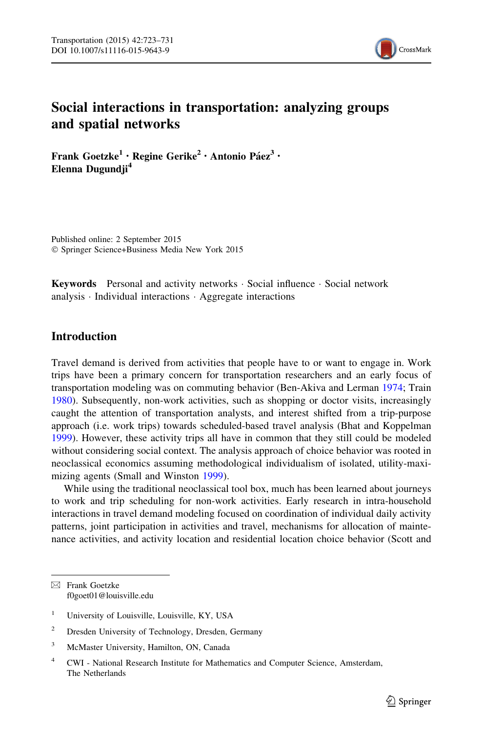

# Social interactions in transportation: analyzing groups and spatial networks

Frank Goetzke<sup>1</sup> • Regine Gerike<sup>2</sup> • Antonio Páez<sup>3</sup> • Elenna Dugundji<sup>4</sup>

Published online: 2 September 2015 - Springer Science+Business Media New York 2015

Keywords Personal and activity networks · Social influence · Social network analysis - Individual interactions - Aggregate interactions

## **Introduction**

Travel demand is derived from activities that people have to or want to engage in. Work trips have been a primary concern for transportation researchers and an early focus of transportation modeling was on commuting behavior (Ben-Akiva and Lerman [1974;](#page-5-0) Train [1980\)](#page-8-0). Subsequently, non-work activities, such as shopping or doctor visits, increasingly caught the attention of transportation analysts, and interest shifted from a trip-purpose approach (i.e. work trips) towards scheduled-based travel analysis (Bhat and Koppelman [1999\)](#page-5-0). However, these activity trips all have in common that they still could be modeled without considering social context. The analysis approach of choice behavior was rooted in neoclassical economics assuming methodological individualism of isolated, utility-maximizing agents (Small and Winston [1999](#page-7-0)).

While using the traditional neoclassical tool box, much has been learned about journeys to work and trip scheduling for non-work activities. Early research in intra-household interactions in travel demand modeling focused on coordination of individual daily activity patterns, joint participation in activities and travel, mechanisms for allocation of maintenance activities, and activity location and residential location choice behavior (Scott and

 $\boxtimes$  Frank Goetzke f0goet01@louisville.edu

<sup>&</sup>lt;sup>1</sup> University of Louisville, Louisville, KY, USA

<sup>2</sup> Dresden University of Technology, Dresden, Germany

<sup>&</sup>lt;sup>3</sup> McMaster University, Hamilton, ON, Canada

<sup>4</sup> CWI - National Research Institute for Mathematics and Computer Science, Amsterdam, The Netherlands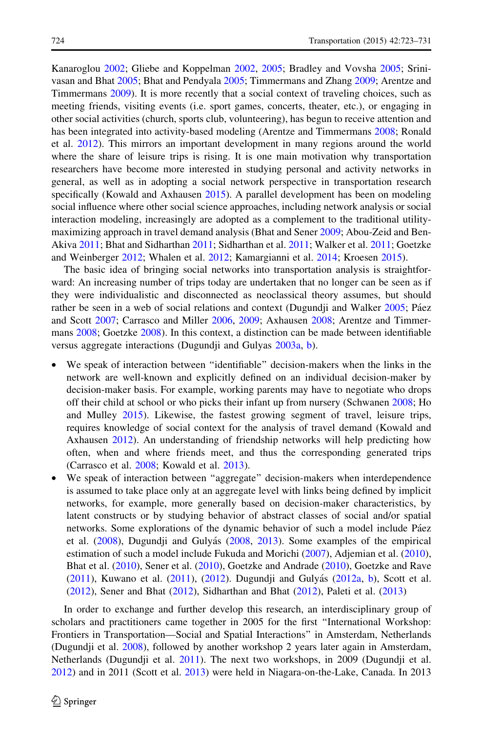Kanaroglou [2002;](#page-7-0) Gliebe and Koppelman [2002](#page-6-0), [2005](#page-6-0); Bradley and Vovsha [2005;](#page-6-0) Srinivasan and Bhat [2005;](#page-7-0) Bhat and Pendyala [2005;](#page-5-0) Timmermans and Zhang [2009;](#page-8-0) Arentze and Timmermans [2009](#page-5-0)). It is more recently that a social context of traveling choices, such as meeting friends, visiting events (i.e. sport games, concerts, theater, etc.), or engaging in other social activities (church, sports club, volunteering), has begun to receive attention and has been integrated into activity-based modeling (Arentze and Timmermans [2008;](#page-5-0) Ronald et al. [2012](#page-7-0)). This mirrors an important development in many regions around the world where the share of leisure trips is rising. It is one main motivation why transportation researchers have become more interested in studying personal and activity networks in general, as well as in adopting a social network perspective in transportation research specifically (Kowald and Axhausen [2015\)](#page-7-0). A parallel development has been on modeling social influence where other social science approaches, including network analysis or social interaction modeling, increasingly are adopted as a complement to the traditional utilitymaximizing approach in travel demand analysis (Bhat and Sener [2009](#page-5-0); Abou-Zeid and Ben-Akiva [2011](#page-5-0); Bhat and Sidharthan [2011](#page-6-0); Sidharthan et al. [2011;](#page-7-0) Walker et al. [2011](#page-8-0); Goetzke and Weinberger [2012;](#page-6-0) Whalen et al. [2012;](#page-8-0) Kamargianni et al. [2014](#page-7-0); Kroesen [2015](#page-7-0)).

The basic idea of bringing social networks into transportation analysis is straightforward: An increasing number of trips today are undertaken that no longer can be seen as if they were individualistic and disconnected as neoclassical theory assumes, but should rather be seen in a web of social relations and context (Dugundji and Walker [2005;](#page-6-0) Páez and Scott [2007;](#page-7-0) Carrasco and Miller [2006,](#page-6-0) [2009](#page-6-0); Axhausen [2008](#page-5-0); Arentze and Timmermans [2008](#page-5-0); Goetzke [2008\)](#page-6-0). In this context, a distinction can be made between identifiable versus aggregate interactions (Dugundji and Gulyas [2003a,](#page-6-0) [b\)](#page-6-0).

- We speak of interaction between ''identifiable'' decision-makers when the links in the network are well-known and explicitly defined on an individual decision-maker by decision-maker basis. For example, working parents may have to negotiate who drops off their child at school or who picks their infant up from nursery (Schwanen [2008;](#page-7-0) Ho and Mulley [2015](#page-7-0)). Likewise, the fastest growing segment of travel, leisure trips, requires knowledge of social context for the analysis of travel demand (Kowald and Axhausen [2012](#page-7-0)). An understanding of friendship networks will help predicting how often, when and where friends meet, and thus the corresponding generated trips (Carrasco et al. [2008;](#page-6-0) Kowald et al. [2013](#page-7-0)).
- We speak of interaction between ''aggregate'' decision-makers when interdependence is assumed to take place only at an aggregate level with links being defined by implicit networks, for example, more generally based on decision-maker characteristics, by latent constructs or by studying behavior of abstract classes of social and/or spatial networks. Some explorations of the dynamic behavior of such a model include Páez et al. [\(2008](#page-7-0)), Dugundji and Gulyás ([2008,](#page-6-0) [2013](#page-6-0)). Some examples of the empirical estimation of such a model include Fukuda and Morichi ([2007\)](#page-6-0), Adjemian et al. [\(2010](#page-5-0)), Bhat et al. [\(2010](#page-5-0)), Sener et al. [\(2010](#page-7-0)), Goetzke and Andrade ([2010\)](#page-6-0), Goetzke and Rave  $(2011)$  $(2011)$ , Kuwano et al.  $(2011)$ ,  $(2012)$  $(2012)$ . Dugundji and Gulyás  $(2012a, b)$  $(2012a, b)$  $(2012a, b)$  $(2012a, b)$ , Scott et al. ([2012\)](#page-7-0), Sener and Bhat [\(2012](#page-7-0)), Sidharthan and Bhat [\(2012\)](#page-7-0), Paleti et al. [\(2013](#page-7-0))

In order to exchange and further develop this research, an interdisciplinary group of scholars and practitioners came together in 2005 for the first ''International Workshop: Frontiers in Transportation—Social and Spatial Interactions'' in Amsterdam, Netherlands (Dugundji et al. [2008](#page-6-0)), followed by another workshop 2 years later again in Amsterdam, Netherlands (Dugundji et al. [2011](#page-6-0)). The next two workshops, in 2009 (Dugundji et al. [2012\)](#page-6-0) and in 2011 (Scott et al. [2013](#page-7-0)) were held in Niagara-on-the-Lake, Canada. In 2013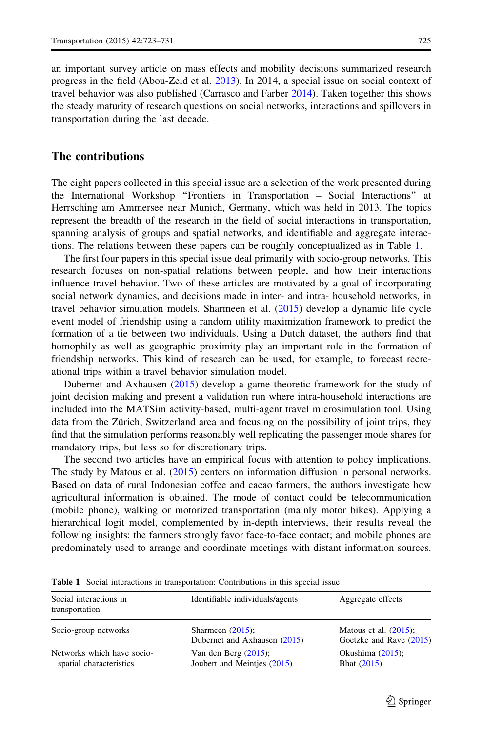an important survey article on mass effects and mobility decisions summarized research progress in the field (Abou-Zeid et al. [2013\)](#page-5-0). In 2014, a special issue on social context of travel behavior was also published (Carrasco and Farber [2014](#page-6-0)). Taken together this shows the steady maturity of research questions on social networks, interactions and spillovers in transportation during the last decade.

### The contributions

The eight papers collected in this special issue are a selection of the work presented during the International Workshop ''Frontiers in Transportation – Social Interactions'' at Herrsching am Ammersee near Munich, Germany, which was held in 2013. The topics represent the breadth of the research in the field of social interactions in transportation, spanning analysis of groups and spatial networks, and identifiable and aggregate interactions. The relations between these papers can be roughly conceptualized as in Table 1.

The first four papers in this special issue deal primarily with socio-group networks. This research focuses on non-spatial relations between people, and how their interactions influence travel behavior. Two of these articles are motivated by a goal of incorporating social network dynamics, and decisions made in inter- and intra- household networks, in travel behavior simulation models. Sharmeen et al. [\(2015](#page-7-0)) develop a dynamic life cycle event model of friendship using a random utility maximization framework to predict the formation of a tie between two individuals. Using a Dutch dataset, the authors find that homophily as well as geographic proximity play an important role in the formation of friendship networks. This kind of research can be used, for example, to forecast recreational trips within a travel behavior simulation model.

Dubernet and Axhausen [\(2015](#page-6-0)) develop a game theoretic framework for the study of joint decision making and present a validation run where intra-household interactions are included into the MATSim activity-based, multi-agent travel microsimulation tool. Using data from the Zürich, Switzerland area and focusing on the possibility of joint trips, they find that the simulation performs reasonably well replicating the passenger mode shares for mandatory trips, but less so for discretionary trips.

The second two articles have an empirical focus with attention to policy implications. The study by Matous et al. [\(2015](#page-7-0)) centers on information diffusion in personal networks. Based on data of rural Indonesian coffee and cacao farmers, the authors investigate how agricultural information is obtained. The mode of contact could be telecommunication (mobile phone), walking or motorized transportation (mainly motor bikes). Applying a hierarchical logit model, complemented by in-depth interviews, their results reveal the following insights: the farmers strongly favor face-to-face contact; and mobile phones are predominately used to arrange and coordinate meetings with distant information sources.

| Social interactions in<br>transportation              | Identifiable individuals/agents                        | Aggregate effects                                   |
|-------------------------------------------------------|--------------------------------------------------------|-----------------------------------------------------|
| Socio-group networks                                  | Sharmeen $(2015)$ ;<br>Dubernet and Axhausen (2015)    | Matous et al. $(2015)$ ;<br>Goetzke and Rave (2015) |
| Networks which have socio-<br>spatial characteristics | Van den Berg $(2015)$ ;<br>Joubert and Meintjes (2015) | Okushima $(2015)$ ;<br>Bhat (2015)                  |

Table 1 Social interactions in transportation: Contributions in this special issue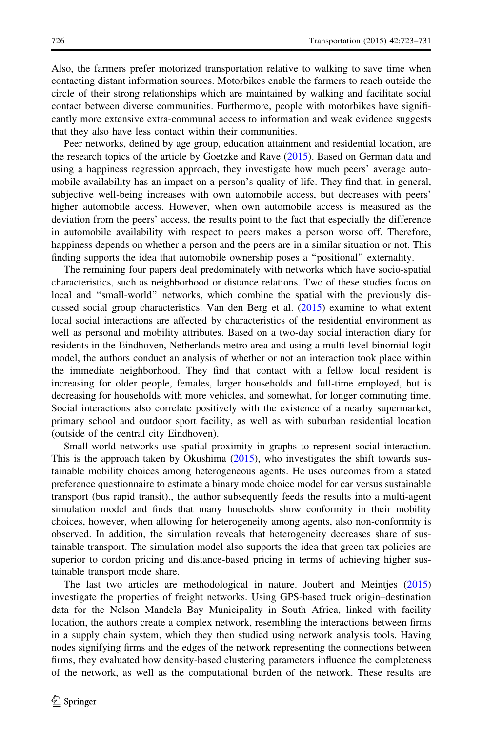Also, the farmers prefer motorized transportation relative to walking to save time when contacting distant information sources. Motorbikes enable the farmers to reach outside the circle of their strong relationships which are maintained by walking and facilitate social contact between diverse communities. Furthermore, people with motorbikes have significantly more extensive extra-communal access to information and weak evidence suggests that they also have less contact within their communities.

Peer networks, defined by age group, education attainment and residential location, are the research topics of the article by Goetzke and Rave [\(2015](#page-6-0)). Based on German data and using a happiness regression approach, they investigate how much peers' average automobile availability has an impact on a person's quality of life. They find that, in general, subjective well-being increases with own automobile access, but decreases with peers' higher automobile access. However, when own automobile access is measured as the deviation from the peers' access, the results point to the fact that especially the difference in automobile availability with respect to peers makes a person worse off. Therefore, happiness depends on whether a person and the peers are in a similar situation or not. This finding supports the idea that automobile ownership poses a ''positional'' externality.

The remaining four papers deal predominately with networks which have socio-spatial characteristics, such as neighborhood or distance relations. Two of these studies focus on local and "small-world" networks, which combine the spatial with the previously discussed social group characteristics. Van den Berg et al. [\(2015](#page-8-0)) examine to what extent local social interactions are affected by characteristics of the residential environment as well as personal and mobility attributes. Based on a two-day social interaction diary for residents in the Eindhoven, Netherlands metro area and using a multi-level binomial logit model, the authors conduct an analysis of whether or not an interaction took place within the immediate neighborhood. They find that contact with a fellow local resident is increasing for older people, females, larger households and full-time employed, but is decreasing for households with more vehicles, and somewhat, for longer commuting time. Social interactions also correlate positively with the existence of a nearby supermarket, primary school and outdoor sport facility, as well as with suburban residential location (outside of the central city Eindhoven).

Small-world networks use spatial proximity in graphs to represent social interaction. This is the approach taken by Okushima ([2015\)](#page-7-0), who investigates the shift towards sustainable mobility choices among heterogeneous agents. He uses outcomes from a stated preference questionnaire to estimate a binary mode choice model for car versus sustainable transport (bus rapid transit)., the author subsequently feeds the results into a multi-agent simulation model and finds that many households show conformity in their mobility choices, however, when allowing for heterogeneity among agents, also non-conformity is observed. In addition, the simulation reveals that heterogeneity decreases share of sustainable transport. The simulation model also supports the idea that green tax policies are superior to cordon pricing and distance-based pricing in terms of achieving higher sustainable transport mode share.

The last two articles are methodological in nature. Joubert and Meintjes ([2015](#page-7-0)) investigate the properties of freight networks. Using GPS-based truck origin–destination data for the Nelson Mandela Bay Municipality in South Africa, linked with facility location, the authors create a complex network, resembling the interactions between firms in a supply chain system, which they then studied using network analysis tools. Having nodes signifying firms and the edges of the network representing the connections between firms, they evaluated how density-based clustering parameters influence the completeness of the network, as well as the computational burden of the network. These results are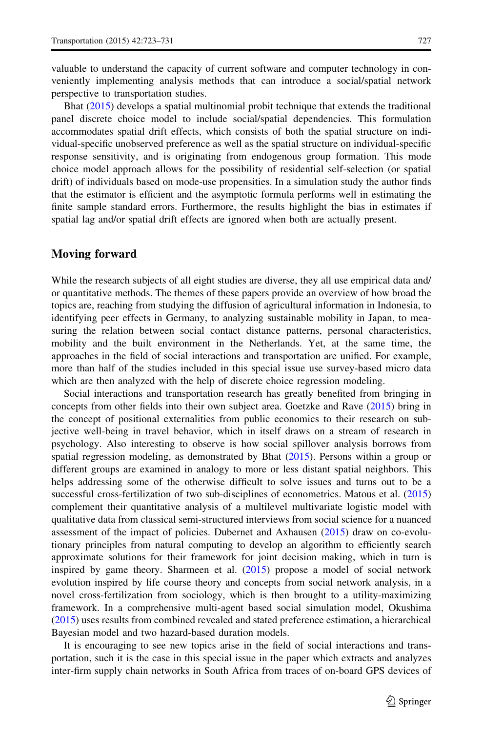valuable to understand the capacity of current software and computer technology in conveniently implementing analysis methods that can introduce a social/spatial network perspective to transportation studies.

Bhat ([2015\)](#page-5-0) develops a spatial multinomial probit technique that extends the traditional panel discrete choice model to include social/spatial dependencies. This formulation accommodates spatial drift effects, which consists of both the spatial structure on individual-specific unobserved preference as well as the spatial structure on individual-specific response sensitivity, and is originating from endogenous group formation. This mode choice model approach allows for the possibility of residential self-selection (or spatial drift) of individuals based on mode-use propensities. In a simulation study the author finds that the estimator is efficient and the asymptotic formula performs well in estimating the finite sample standard errors. Furthermore, the results highlight the bias in estimates if spatial lag and/or spatial drift effects are ignored when both are actually present.

### Moving forward

While the research subjects of all eight studies are diverse, they all use empirical data and/ or quantitative methods. The themes of these papers provide an overview of how broad the topics are, reaching from studying the diffusion of agricultural information in Indonesia, to identifying peer effects in Germany, to analyzing sustainable mobility in Japan, to measuring the relation between social contact distance patterns, personal characteristics, mobility and the built environment in the Netherlands. Yet, at the same time, the approaches in the field of social interactions and transportation are unified. For example, more than half of the studies included in this special issue use survey-based micro data which are then analyzed with the help of discrete choice regression modeling.

Social interactions and transportation research has greatly benefited from bringing in concepts from other fields into their own subject area. Goetzke and Rave ([2015\)](#page-6-0) bring in the concept of positional externalities from public economics to their research on subjective well-being in travel behavior, which in itself draws on a stream of research in psychology. Also interesting to observe is how social spillover analysis borrows from spatial regression modeling, as demonstrated by Bhat ([2015\)](#page-5-0). Persons within a group or different groups are examined in analogy to more or less distant spatial neighbors. This helps addressing some of the otherwise difficult to solve issues and turns out to be a successful cross-fertilization of two sub-disciplines of econometrics. Matous et al. ([2015](#page-7-0)) complement their quantitative analysis of a multilevel multivariate logistic model with qualitative data from classical semi-structured interviews from social science for a nuanced assessment of the impact of policies. Dubernet and Axhausen [\(2015](#page-6-0)) draw on co-evolutionary principles from natural computing to develop an algorithm to efficiently search approximate solutions for their framework for joint decision making, which in turn is inspired by game theory. Sharmeen et al. ([2015\)](#page-7-0) propose a model of social network evolution inspired by life course theory and concepts from social network analysis, in a novel cross-fertilization from sociology, which is then brought to a utility-maximizing framework. In a comprehensive multi-agent based social simulation model, Okushima ([2015\)](#page-7-0) uses results from combined revealed and stated preference estimation, a hierarchical Bayesian model and two hazard-based duration models.

It is encouraging to see new topics arise in the field of social interactions and transportation, such it is the case in this special issue in the paper which extracts and analyzes inter-firm supply chain networks in South Africa from traces of on-board GPS devices of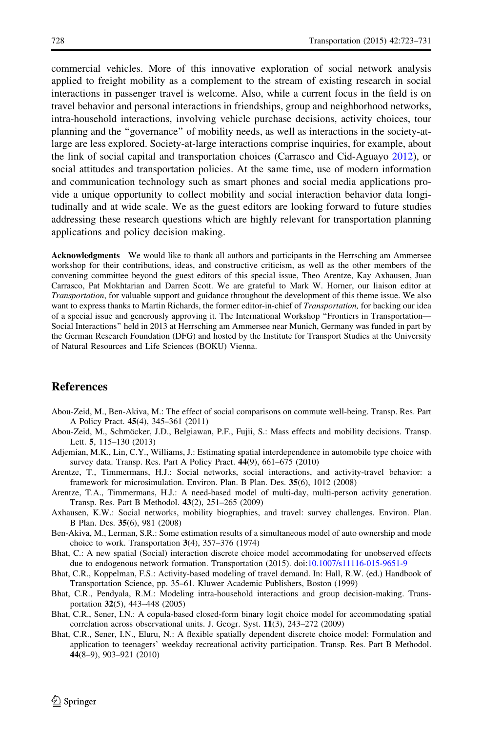<span id="page-5-0"></span>commercial vehicles. More of this innovative exploration of social network analysis applied to freight mobility as a complement to the stream of existing research in social interactions in passenger travel is welcome. Also, while a current focus in the field is on travel behavior and personal interactions in friendships, group and neighborhood networks, intra-household interactions, involving vehicle purchase decisions, activity choices, tour planning and the ''governance'' of mobility needs, as well as interactions in the society-atlarge are less explored. Society-at-large interactions comprise inquiries, for example, about the link of social capital and transportation choices (Carrasco and Cid-Aguayo [2012\)](#page-6-0), or social attitudes and transportation policies. At the same time, use of modern information and communication technology such as smart phones and social media applications provide a unique opportunity to collect mobility and social interaction behavior data longitudinally and at wide scale. We as the guest editors are looking forward to future studies addressing these research questions which are highly relevant for transportation planning applications and policy decision making.

Acknowledgments We would like to thank all authors and participants in the Herrsching am Ammersee workshop for their contributions, ideas, and constructive criticism, as well as the other members of the convening committee beyond the guest editors of this special issue, Theo Arentze, Kay Axhausen, Juan Carrasco, Pat Mokhtarian and Darren Scott. We are grateful to Mark W. Horner, our liaison editor at Transportation, for valuable support and guidance throughout the development of this theme issue. We also want to express thanks to Martin Richards, the former editor-in-chief of Transportation, for backing our idea of a special issue and generously approving it. The International Workshop ''Frontiers in Transportation— Social Interactions'' held in 2013 at Herrsching am Ammersee near Munich, Germany was funded in part by the German Research Foundation (DFG) and hosted by the Institute for Transport Studies at the University of Natural Resources and Life Sciences (BOKU) Vienna.

### **References**

- Abou-Zeid, M., Ben-Akiva, M.: The effect of social comparisons on commute well-being. Transp. Res. Part A Policy Pract. 45(4), 345–361 (2011)
- Abou-Zeid, M., Schmöcker, J.D., Belgiawan, P.F., Fujii, S.: Mass effects and mobility decisions. Transp. Lett. 5, 115–130 (2013)
- Adjemian, M.K., Lin, C.Y., Williams, J.: Estimating spatial interdependence in automobile type choice with survey data. Transp. Res. Part A Policy Pract. 44(9), 661–675 (2010)
- Arentze, T., Timmermans, H.J.: Social networks, social interactions, and activity-travel behavior: a framework for microsimulation. Environ. Plan. B Plan. Des. 35(6), 1012 (2008)
- Arentze, T.A., Timmermans, H.J.: A need-based model of multi-day, multi-person activity generation. Transp. Res. Part B Methodol. 43(2), 251–265 (2009)
- Axhausen, K.W.: Social networks, mobility biographies, and travel: survey challenges. Environ. Plan. B Plan. Des. 35(6), 981 (2008)
- Ben-Akiva, M., Lerman, S.R.: Some estimation results of a simultaneous model of auto ownership and mode choice to work. Transportation  $3(4)$ ,  $357-376$  (1974)
- Bhat, C.: A new spatial (Social) interaction discrete choice model accommodating for unobserved effects due to endogenous network formation. Transportation (2015). doi[:10.1007/s11116-015-9651-9](http://dx.doi.org/10.1007/s11116-015-9651-9)
- Bhat, C.R., Koppelman, F.S.: Activity-based modeling of travel demand. In: Hall, R.W. (ed.) Handbook of Transportation Science, pp. 35–61. Kluwer Academic Publishers, Boston (1999)
- Bhat, C.R., Pendyala, R.M.: Modeling intra-household interactions and group decision-making. Transportation 32(5), 443–448 (2005)
- Bhat, C.R., Sener, I.N.: A copula-based closed-form binary logit choice model for accommodating spatial correlation across observational units. J. Geogr. Syst. 11(3), 243–272 (2009)
- Bhat, C.R., Sener, I.N., Eluru, N.: A flexible spatially dependent discrete choice model: Formulation and application to teenagers' weekday recreational activity participation. Transp. Res. Part B Methodol. 44(8–9), 903–921 (2010)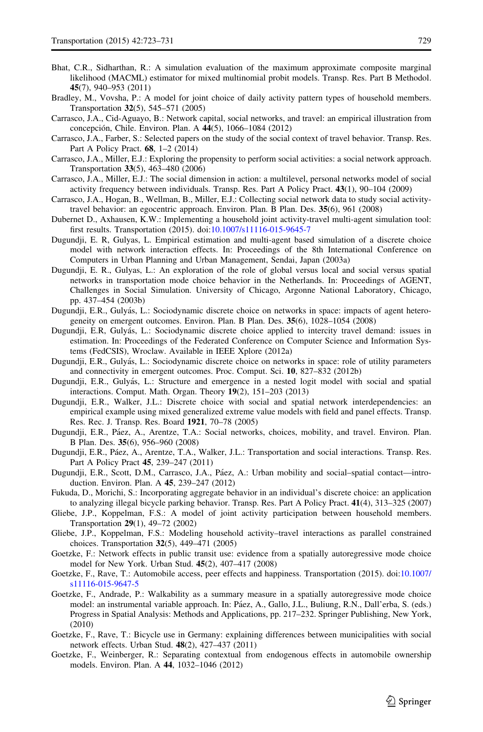- <span id="page-6-0"></span>Bhat, C.R., Sidharthan, R.: A simulation evaluation of the maximum approximate composite marginal likelihood (MACML) estimator for mixed multinomial probit models. Transp. Res. Part B Methodol. 45(7), 940–953 (2011)
- Bradley, M., Vovsha, P.: A model for joint choice of daily activity pattern types of household members. Transportation 32(5), 545–571 (2005)
- Carrasco, J.A., Cid-Aguayo, B.: Network capital, social networks, and travel: an empirical illustration from concepcio´n, Chile. Environ. Plan. A 44(5), 1066–1084 (2012)
- Carrasco, J.A., Farber, S.: Selected papers on the study of the social context of travel behavior. Transp. Res. Part A Policy Pract. 68, 1–2 (2014)
- Carrasco, J.A., Miller, E.J.: Exploring the propensity to perform social activities: a social network approach. Transportation 33(5), 463–480 (2006)
- Carrasco, J.A., Miller, E.J.: The social dimension in action: a multilevel, personal networks model of social activity frequency between individuals. Transp. Res. Part A Policy Pract. 43(1), 90–104 (2009)
- Carrasco, J.A., Hogan, B., Wellman, B., Miller, E.J.: Collecting social network data to study social activitytravel behavior: an egocentric approach. Environ. Plan. B Plan. Des. 35(6), 961 (2008)
- Dubernet D., Axhausen, K.W.: Implementing a household joint activity-travel multi-agent simulation tool: first results. Transportation (2015). doi[:10.1007/s11116-015-9645-7](http://dx.doi.org/10.1007/s11116-015-9645-7)
- Dugundji, E. R, Gulyas, L. Empirical estimation and multi-agent based simulation of a discrete choice model with network interaction effects. In: Proceedings of the 8th International Conference on Computers in Urban Planning and Urban Management, Sendai, Japan (2003a)
- Dugundji, E. R., Gulyas, L.: An exploration of the role of global versus local and social versus spatial networks in transportation mode choice behavior in the Netherlands. In: Proceedings of AGENT, Challenges in Social Simulation. University of Chicago, Argonne National Laboratory, Chicago, pp. 437–454 (2003b)
- Dugundji, E.R., Gulyás, L.: Sociodynamic discrete choice on networks in space: impacts of agent heterogeneity on emergent outcomes. Environ. Plan. B Plan. Des. 35(6), 1028–1054 (2008)
- Dugundji, E.R, Gulyás, L.: Sociodynamic discrete choice applied to intercity travel demand: issues in estimation. In: Proceedings of the Federated Conference on Computer Science and Information Systems (FedCSIS), Wroclaw. Available in IEEE Xplore (2012a)
- Dugundji, E.R., Gulyás, L.: Sociodynamic discrete choice on networks in space: role of utility parameters and connectivity in emergent outcomes. Proc. Comput. Sci. 10, 827–832 (2012b)
- Dugundji, E.R., Gulyás, L.: Structure and emergence in a nested logit model with social and spatial interactions. Comput. Math. Organ. Theory 19(2), 151–203 (2013)
- Dugundji, E.R., Walker, J.L.: Discrete choice with social and spatial network interdependencies: an empirical example using mixed generalized extreme value models with field and panel effects. Transp. Res. Rec. J. Transp. Res. Board 1921, 70–78 (2005)
- Dugundji, E.R., Páez, A., Arentze, T.A.: Social networks, choices, mobility, and travel. Environ. Plan. B Plan. Des. 35(6), 956–960 (2008)
- Dugundji, E.R., Páez, A., Arentze, T.A., Walker, J.L.: Transportation and social interactions. Transp. Res. Part A Policy Pract 45, 239–247 (2011)
- Dugundji, E.R., Scott, D.M., Carrasco, J.A., Páez, A.: Urban mobility and social–spatial contact—introduction. Environ. Plan. A 45, 239–247 (2012)
- Fukuda, D., Morichi, S.: Incorporating aggregate behavior in an individual's discrete choice: an application to analyzing illegal bicycle parking behavior. Transp. Res. Part A Policy Pract. 41(4), 313–325 (2007)
- Gliebe, J.P., Koppelman, F.S.: A model of joint activity participation between household members. Transportation 29(1), 49–72 (2002)
- Gliebe, J.P., Koppelman, F.S.: Modeling household activity–travel interactions as parallel constrained choices. Transportation 32(5), 449–471 (2005)
- Goetzke, F.: Network effects in public transit use: evidence from a spatially autoregressive mode choice model for New York. Urban Stud. 45(2), 407–417 (2008)
- Goetzke, F., Rave, T.: Automobile access, peer effects and happiness. Transportation (2015). doi:[10.1007/](http://dx.doi.org/10.1007/s11116-015-9647-5) [s11116-015-9647-5](http://dx.doi.org/10.1007/s11116-015-9647-5)
- Goetzke, F., Andrade, P.: Walkability as a summary measure in a spatially autoregressive mode choice model: an instrumental variable approach. In: Páez, A., Gallo, J.L., Buliung, R.N., Dall'erba, S. (eds.) Progress in Spatial Analysis: Methods and Applications, pp. 217–232. Springer Publishing, New York, (2010)
- Goetzke, F., Rave, T.: Bicycle use in Germany: explaining differences between municipalities with social network effects. Urban Stud. 48(2), 427–437 (2011)
- Goetzke, F., Weinberger, R.: Separating contextual from endogenous effects in automobile ownership models. Environ. Plan. A 44, 1032–1046 (2012)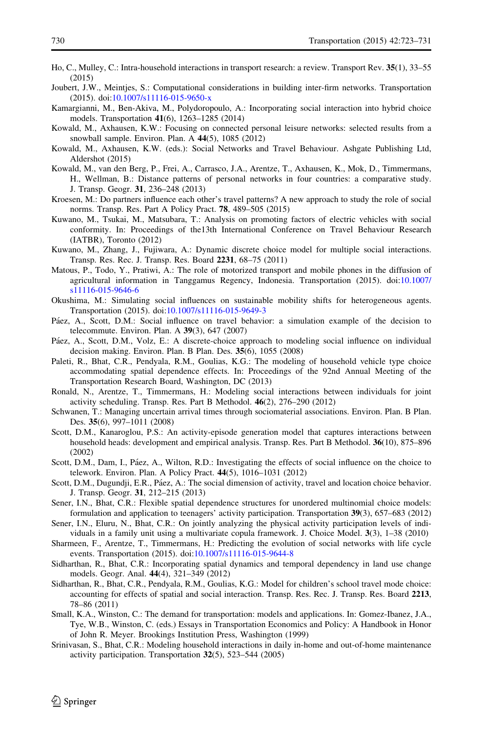- <span id="page-7-0"></span>Ho, C., Mulley, C.: Intra-household interactions in transport research: a review. Transport Rev. 35(1), 33–55 (2015)
- Joubert, J.W., Meintjes, S.: Computational considerations in building inter-firm networks. Transportation (2015). doi[:10.1007/s11116-015-9650-x](http://dx.doi.org/10.1007/s11116-015-9650-x)
- Kamargianni, M., Ben-Akiva, M., Polydoropoulo, A.: Incorporating social interaction into hybrid choice models. Transportation 41(6), 1263–1285 (2014)
- Kowald, M., Axhausen, K.W.: Focusing on connected personal leisure networks: selected results from a snowball sample. Environ. Plan. A 44(5), 1085 (2012)
- Kowald, M., Axhausen, K.W. (eds.): Social Networks and Travel Behaviour. Ashgate Publishing Ltd, Aldershot (2015)
- Kowald, M., van den Berg, P., Frei, A., Carrasco, J.A., Arentze, T., Axhausen, K., Mok, D., Timmermans, H., Wellman, B.: Distance patterns of personal networks in four countries: a comparative study. J. Transp. Geogr. 31, 236–248 (2013)
- Kroesen, M.: Do partners influence each other's travel patterns? A new approach to study the role of social norms. Transp. Res. Part A Policy Pract. 78, 489–505 (2015)
- Kuwano, M., Tsukai, M., Matsubara, T.: Analysis on promoting factors of electric vehicles with social conformity. In: Proceedings of the13th International Conference on Travel Behaviour Research (IATBR), Toronto (2012)
- Kuwano, M., Zhang, J., Fujiwara, A.: Dynamic discrete choice model for multiple social interactions. Transp. Res. Rec. J. Transp. Res. Board 2231, 68–75 (2011)
- Matous, P., Todo, Y., Pratiwi, A.: The role of motorized transport and mobile phones in the diffusion of agricultural information in Tanggamus Regency, Indonesia. Transportation (2015). doi:[10.1007/](http://dx.doi.org/10.1007/s11116-015-9646-6) [s11116-015-9646-6](http://dx.doi.org/10.1007/s11116-015-9646-6)
- Okushima, M.: Simulating social influences on sustainable mobility shifts for heterogeneous agents. Transportation (2015). doi:[10.1007/s11116-015-9649-3](http://dx.doi.org/10.1007/s11116-015-9649-3)
- Páez, A., Scott, D.M.: Social influence on travel behavior: a simulation example of the decision to telecommute. Environ. Plan. A 39(3), 647 (2007)
- Páez, A., Scott, D.M., Volz, E.: A discrete-choice approach to modeling social influence on individual decision making. Environ. Plan. B Plan. Des. 35(6), 1055 (2008)
- Paleti, R., Bhat, C.R., Pendyala, R.M., Goulias, K.G.: The modeling of household vehicle type choice accommodating spatial dependence effects. In: Proceedings of the 92nd Annual Meeting of the Transportation Research Board, Washington, DC (2013)
- Ronald, N., Arentze, T., Timmermans, H.: Modeling social interactions between individuals for joint activity scheduling. Transp. Res. Part B Methodol. 46(2), 276–290 (2012)
- Schwanen, T.: Managing uncertain arrival times through sociomaterial associations. Environ. Plan. B Plan. Des. 35(6), 997–1011 (2008)
- Scott, D.M., Kanaroglou, P.S.: An activity-episode generation model that captures interactions between household heads: development and empirical analysis. Transp. Res. Part B Methodol. 36(10), 875–896 (2002)
- Scott, D.M., Dam, I., Páez, A., Wilton, R.D.: Investigating the effects of social influence on the choice to telework. Environ. Plan. A Policy Pract. 44(5), 1016–1031 (2012)
- Scott, D.M., Dugundji, E.R., Páez, A.: The social dimension of activity, travel and location choice behavior. J. Transp. Geogr. 31, 212–215 (2013)
- Sener, I.N., Bhat, C.R.: Flexible spatial dependence structures for unordered multinomial choice models: formulation and application to teenagers' activity participation. Transportation 39(3), 657–683 (2012)
- Sener, I.N., Eluru, N., Bhat, C.R.: On jointly analyzing the physical activity participation levels of individuals in a family unit using a multivariate copula framework. J. Choice Model. 3(3), 1–38 (2010)
- Sharmeen, F., Arentze, T., Timmermans, H.: Predicting the evolution of social networks with life cycle events. Transportation (2015). doi:[10.1007/s11116-015-9644-8](http://dx.doi.org/10.1007/s11116-015-9644-8)
- Sidharthan, R., Bhat, C.R.: Incorporating spatial dynamics and temporal dependency in land use change models. Geogr. Anal. 44(4), 321–349 (2012)
- Sidharthan, R., Bhat, C.R., Pendyala, R.M., Goulias, K.G.: Model for children's school travel mode choice: accounting for effects of spatial and social interaction. Transp. Res. Rec. J. Transp. Res. Board 2213, 78–86 (2011)
- Small, K.A., Winston, C.: The demand for transportation: models and applications. In: Gomez-Ibanez, J.A., Tye, W.B., Winston, C. (eds.) Essays in Transportation Economics and Policy: A Handbook in Honor of John R. Meyer. Brookings Institution Press, Washington (1999)
- Srinivasan, S., Bhat, C.R.: Modeling household interactions in daily in-home and out-of-home maintenance activity participation. Transportation 32(5), 523–544 (2005)